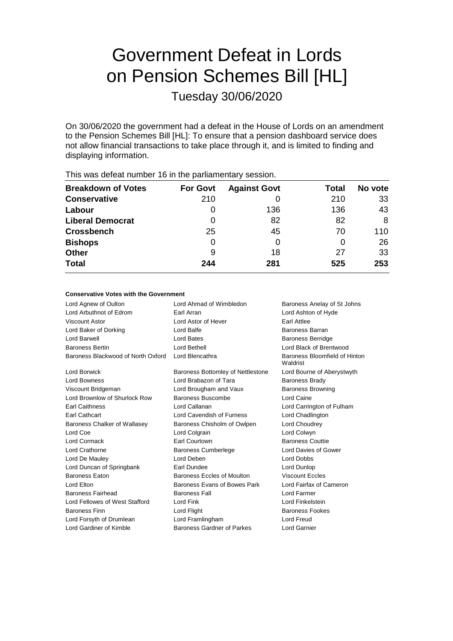# Government Defeat in Lords on Pension Schemes Bill [HL]

Tuesday 30/06/2020

On 30/06/2020 the government had a defeat in the House of Lords on an amendment to the Pension Schemes Bill [HL]: To ensure that a pension dashboard service does not allow financial transactions to take place through it, and is limited to finding and displaying information.

| <b>Breakdown of Votes</b> | <b>For Govt</b> | <b>Against Govt</b> | Total | No vote |
|---------------------------|-----------------|---------------------|-------|---------|
| <b>Conservative</b>       | 210             |                     | 210   | 33      |
| Labour                    | 0               | 136                 | 136   | 43      |
| <b>Liberal Democrat</b>   | 0               | 82                  | 82    | 8       |
| <b>Crossbench</b>         | 25              | 45                  | 70    | 110     |
| <b>Bishops</b>            | 0               | 0                   |       | 26      |
| <b>Other</b>              | 9               | 18                  | 27    | 33      |
| <b>Total</b>              | 244             | 281                 | 525   | 253     |
|                           |                 |                     |       |         |

This was defeat number 16 in the parliamentary session.

#### **Conservative Votes with the Government**

| Lord Agnew of Oulton               | Lord Ahmad of Wimbledon           | Baroness Anelay of St Johns               |
|------------------------------------|-----------------------------------|-------------------------------------------|
| Lord Arbuthnot of Edrom            | Earl Arran                        | Lord Ashton of Hyde                       |
| Viscount Astor                     | Lord Astor of Hever               | Earl Attlee                               |
| Lord Baker of Dorking              | Lord Balfe                        | Baroness Barran                           |
| Lord Barwell                       | Lord Bates                        | <b>Baroness Berridge</b>                  |
| <b>Baroness Bertin</b>             | Lord Bethell                      | Lord Black of Brentwood                   |
| Baroness Blackwood of North Oxford | Lord Blencathra                   | Baroness Bloomfield of Hinton<br>Waldrist |
| Lord Borwick                       | Baroness Bottomley of Nettlestone | Lord Bourne of Aberystwyth                |
| <b>Lord Bowness</b>                | Lord Brabazon of Tara             | <b>Baroness Brady</b>                     |
| Viscount Bridgeman                 | Lord Brougham and Vaux            | <b>Baroness Browning</b>                  |
| Lord Brownlow of Shurlock Row      | Baroness Buscombe                 | Lord Caine                                |
| <b>Earl Caithness</b>              | Lord Callanan                     | Lord Carrington of Fulham                 |
| Earl Cathcart                      | Lord Cavendish of Furness         | Lord Chadlington                          |
| Baroness Chalker of Wallasey       | Baroness Chisholm of Owlpen       | Lord Choudrey                             |
| Lord Coe                           | Lord Colgrain                     | Lord Colwyn                               |
| Lord Cormack                       | Earl Courtown                     | <b>Baroness Couttie</b>                   |
| Lord Crathorne                     | <b>Baroness Cumberlege</b>        | Lord Davies of Gower                      |
| Lord De Mauley                     | Lord Deben                        | <b>Lord Dobbs</b>                         |
| Lord Duncan of Springbank          | Earl Dundee                       | Lord Dunlop                               |
| <b>Baroness Faton</b>              | Baroness Eccles of Moulton        | <b>Viscount Eccles</b>                    |
| Lord Elton                         | Baroness Evans of Bowes Park      | Lord Fairfax of Cameron                   |
| <b>Baroness Fairhead</b>           | <b>Baroness Fall</b>              | Lord Farmer                               |
| Lord Fellowes of West Stafford     | Lord Fink                         | Lord Finkelstein                          |
| <b>Baroness Finn</b>               | Lord Flight                       | <b>Baroness Fookes</b>                    |
| Lord Forsyth of Drumlean           | Lord Framlingham                  | Lord Freud                                |
| Lord Gardiner of Kimble            | Baroness Gardner of Parkes        | Lord Garnier                              |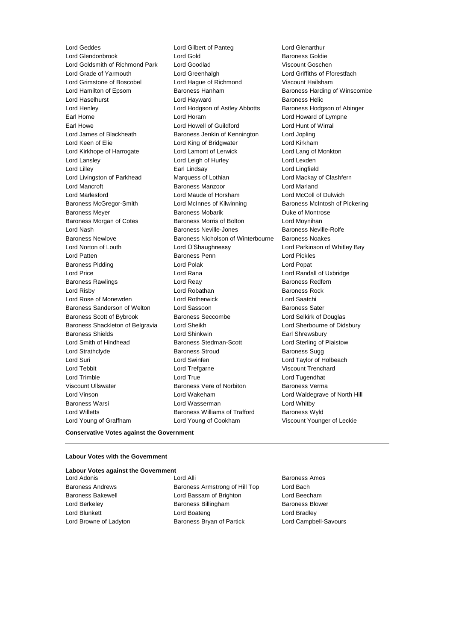Lord Geddes Lord Gilbert of Panteg Lord Glenarthur Lord Goldsmith of Richmond Park Lord Goodlad Viscount Goschen Lord Grade of Yarmouth Lord Greenhalgh Lord Griffiths of Fforestfach Lord Grimstone of Boscobel Lord Hague of Richmond Viscount Hailsham Lord Hamilton of Epsom Baroness Hanham Baroness Harding of Winscombe Lord Haselhurst **Lord Hayward** Baroness Helic Lord Henley Lord Hodgson of Astley Abbotts Baroness Hodgson of Abinger Earl Home **Lord Horam** Lord Horam **Lord Howard of Lympne** Earl Howe Lord Howell of Guildford Lord Hunt of Wirral Lord James of Blackheath Baroness Jenkin of Kennington Lord Jopling Lord Keen of Elie **Lord King of Bridgwater** Lord Kirkham Lord Kirkhope of Harrogate Lord Lamont of Lerwick Lord Lang of Monkton Lord Lansley Lord Leigh of Hurley Lord Lexden Lord Lilley Earl Lindsay Lord Lingfield Lord Livingston of Parkhead Marquess of Lothian Lord Mackay of Clashfern Lord Mancroft Baroness Manzoor Lord Marland Lord Marlesford Lord Maude of Horsham Lord McColl of Dulwich Baroness McGregor-Smith Lord McInnes of Kilwinning Baroness McIntosh of Pickering Baroness Meyer **Baroness Mobarik** Baroness Mobarik **Duke of Montrose** Baroness Morgan of Cotes **Baroness Morris of Bolton** Lord Moynihan Lord Nash Baroness Neville-Jones Baroness Neville-Rolfe Baroness Newlove **Baroness Nicholson of Winterbourne** Baroness Noakes Lord Norton of Louth Lord O'Shaughnessy Lord Parkinson of Whitley Bay Lord Patten Baroness Penn Lord Pickles Baroness Pidding Lord Polak Lord Popat Lord Price Lord Rana Lord Randall of Uxbridge Baroness Rawlings **Baroness Realists** Lord Reay **Baroness Redfern** Lord Risby **Lord Robathan** Baroness Rock Lord Rose of Monewden Lord Rotherwick Lord Saatchi Baroness Sanderson of Welton Lord Sassoon **Baroness Sater** Baroness Sater Baroness Scott of Bybrook Baroness Seccombe Lord Selkirk of Douglas Baroness Shackleton of Belgravia Lord Sheikh Lord Sherbourne of Didsbury Baroness Shields **Lord Shinkwin** Earl Shrewsbury Lord Smith of Hindhead **Baroness Stedman-Scott** Lord Sterling of Plaistow Lord Strathclyde **Baroness Stroud** Baroness Sugg Lord Suri Lord Swinfen Lord Taylor of Holbeach Lord Tebbit Lord Trefgarne Viscount Trenchard Lord Trimble Lord True Lord Tugendhat Viscount Ullswater **Baroness Vere of Norbiton** Baroness Verma Lord Vinson Lord Wakeham Lord Waldegrave of North Hill Baroness Warsi Lord Wasserman Lord Whitby Lord Willetts **Baroness Williams of Trafford** Baroness Wyld Lord Young of Graffham Lord Young of Cookham Viscount Younger of Leckie

Baroness Goldie

#### **Conservative Votes against the Government**

#### **Labour Votes with the Government**

#### **Labour Votes against the Government**

Lord Adonis **Contract Adonis** Lord Alli **Baroness Amos** Baroness Andrews **Baroness Armstrong of Hill Top** Lord Bach Baroness Bakewell **Lord Bassam of Brighton** Lord Beecham Lord Berkeley **Baroness Billingham** Baroness Blower Lord Blunkett **Lord Boateng** Lord Boateng **Lord Bradley** Lord Browne of Ladyton Baroness Bryan of Partick Lord Campbell-Savours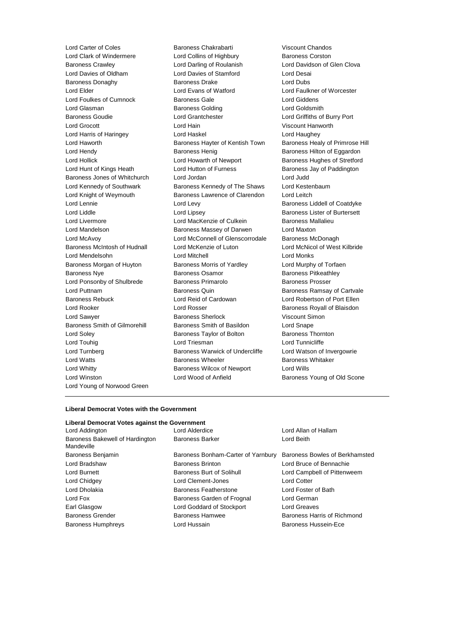Lord Young of Norwood Green

Lord Carter of Coles Baroness Chakrabarti Viscount Chandos Lord Clark of Windermere **Lord Collins of Highbury** Baroness Corston Baroness Crawley Lord Darling of Roulanish Lord Davidson of Glen Clova Lord Davies of Oldham Lord Davies of Stamford Lord Desai Baroness Donaghy Baroness Drake Lord Dubs Lord Elder Lord Evans of Watford Lord Faulkner of Worcester Lord Foulkes of Cumnock Baroness Gale Lord Giddens Lord Glasman **Baroness Golding** Cord Goldsmith Baroness Goudie Lord Grantchester Lord Griffiths of Burry Port Lord Grocott Lord Hain Viscount Hanworth Lord Harris of Haringey Lord Haskel Lord Haughey Lord Haworth Baroness Hayter of Kentish Town Baroness Healy of Primrose Hill Lord Hendy **Baroness Henig** Baroness Henig Baroness Hilton of Eggardon Lord Hollick Lord Howarth of Newport Baroness Hughes of Stretford Lord Hunt of Kings Heath Lord Hutton of Furness Baroness Jay of Paddington Baroness Jones of Whitchurch Lord Jordan Lord Judd Lord Kennedy of Southwark Baroness Kennedy of The Shaws Lord Kestenbaum Lord Knight of Weymouth Baroness Lawrence of Clarendon Lord Leitch Lord Lennie **Lord Levy Lord Levy Baroness Liddell of Coatdyke** Lord Liddle **Lord Lipsey** Lord Lipsey **Baroness Lister of Burtersett** Lord Livermore **Lord MacKenzie of Culkein** Baroness Mallalieu Lord Mandelson Baroness Massey of Darwen Lord Maxton Lord McAvoy Lord McConnell of Glenscorrodale Baroness McDonagh Baroness McIntosh of Hudnall Lord McKenzie of Luton Lord McNicol of West Kilbride Lord Mendelsohn Lord Mitchell Lord Monks Baroness Morgan of Huyton Baroness Morris of Yardley Cord Murphy of Torfaen Baroness Nye **Baroness Osamor** Baroness Pearoness Pitkeathley Lord Ponsonby of Shulbrede Baroness Primarolo Baroness Prosser Lord Puttnam **Baroness Quin** Baroness Quin Baroness Ramsay of Cartvale Baroness Rebuck Lord Reid of Cardowan Lord Robertson of Port Ellen Lord Rooker Lord Rosser Baroness Royall of Blaisdon Lord Sawyer Baroness Sherlock Viscount Simon Baroness Smith of Gilmorehill Baroness Smith of Basildon Lord Snape Lord Soley **Baroness Taylor of Bolton** Baroness Thornton Lord Touhig **Lord Triesman** Lord Triesman **Lord Tunnicliffe** Lord Turnberg **Baroness Warwick of Undercliffe** Lord Watson of Invergowrie Lord Watts **Baroness Wheeler** Baroness Wheeler **Baroness Whitaker** Lord Whitty **Baroness Wilcox of Newport** Lord Wills Lord Winston **Lord Wood of Anfield** Baroness Young of Old Scone

#### **Liberal Democrat Votes with the Government**

#### **Liberal Democrat Votes against the Government**

| Lord Addington                                | $\overline{c}$ |
|-----------------------------------------------|----------------|
| Baroness Bakewell of Hardington<br>Mandeville | Bε             |
| Baroness Benjamin                             | В٤             |
| Lord Bradshaw                                 | Bε             |
| Lord Burnett                                  | Βa             |
| Lord Chidgey                                  | Lc             |
| Lord Dholakia                                 | Βa             |
| Lord Fox                                      | Βa             |
| Earl Glasgow                                  | Lc             |
| <b>Baroness Grender</b>                       | В٤             |
| <b>Baroness Humphreys</b>                     | Lc             |
|                                               |                |

aroness Bonham-Carter of Yarnbury Baroness Bowles of Berkhamsted aroness Brinton **Lord Bruce of Bennachie** aroness Burt of Solihull **Lord Campbell of Pittenweem Lord Clement-Jones** Lord Cotter aroness Featherstone Lord Foster of Bath aroness Garden of Frognal Lord German Ind Goddard of Stockport Lord Greaves aroness Hamwee Baroness Harris of Richmond **Baroness Hussain** Baroness Hussein-Ece

Independent Lord Allan of Hallam aroness Barker **Lord Beith**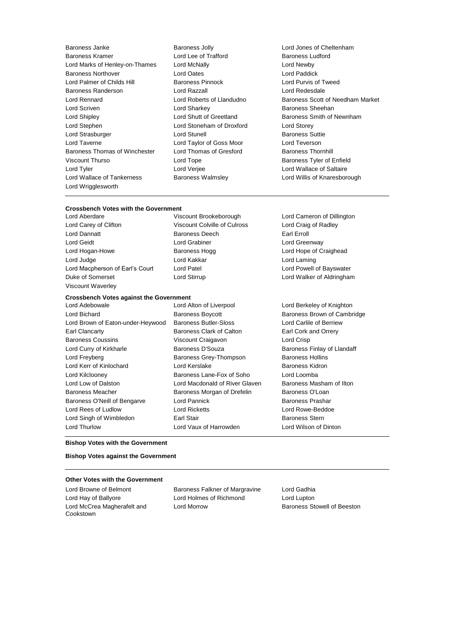Baroness Janke Baroness Jolly Lord Jones of Cheltenham Baroness Kramer **Lord Lee of Trafford** Baroness Ludford Lord Marks of Henley-on-Thames Lord McNally Lord Newby Baroness Northover Lord Oates Lord Paddick Lord Palmer of Childs Hill Baroness Pinnock Baroness Randerson Lord Razzall Lord Redesdale Lord Scriven Lord Sharkey Baroness Sheehan Lord Shipley **Lord Shutt of Greetland** Baroness Smith of Newnham Lord Stephen Lord Stoneham of Droxford Lord Storey Lord Strasburger Lord Stunell Baroness Suttie Lord Taverne Lord Taylor of Goss Moor Lord Teverson Baroness Thomas of Winchester Lord Thomas of Gresford Baroness Thornhill Viscount Thurso **Communist Constructs** Lord Tope **Baroness Tyler of Enfield** Lord Tyler Lord Verjee Lord Wallace of Saltaire Lord Wallace of Tankerness Baroness Walmsley Lord Willis of Knaresborough Lord Wrigglesworth

Lord Rennard Lord Roberts of Llandudno Baroness Scott of Needham Market

## **Crossbench Votes with the Government**<br>Lord Aberdare **Viscount Brookeborough**

Lord Carey of Clifton Viscount Colville of Culross Lord Craig of Radley Lord Dannatt **Baroness Deech** Earl Erroll Lord Geidt **Lord Grabiner** Lord Grabiner **Lord Greenway** Lord Hogan-Howe **Baroness Hogg Lord Hope of Craighead** Lord Hope of Craighead Lord Judge **Lord Kakkar** Lord Kakkar **Lord Laming** Lord Macpherson of Earl's Court Lord Patel Lord Powell of Bayswater Duke of Somerset **Lord Stirrup** Lord Stirrup Lord Walker of Aldringham Viscount Waverley

## **Crossbench Votes against the Government**

Lord Bichard **Baroness Boycott** Baroness Boycott **Baroness Brown of Cambridge** Lord Brown of Eaton-under-Heywood Baroness Butler-Sloss Lord Carlile of Berriew Earl Clancarty Baroness Clark of Calton Earl Cork and Orrery Baroness Coussins Viscount Craigavon Lord Crisp Lord Curry of Kirkharle **Baroness D'Souza** Baroness D'Souza Baroness Finlay of Llandaff Lord Freyberg **Baroness Grey-Thompson** Baroness Hollins Lord Kerr of Kinlochard Lord Kerslake Baroness Kidron Lord Kilclooney Baroness Lane-Fox of Soho Lord Loomba Lord Low of Dalston **Lord Macdonald of River Glaven** Baroness Masham of Ilton Baroness Meacher **Baroness Morgan of Drefelin** Baroness O'Loan Baroness O'Neill of Bengarve Lord Pannick **Baroness Prashar** Baroness Prashar Lord Rees of Ludlow Lord Ricketts Lord Rowe-Beddoe Lord Singh of Wimbledon **Earl Stair Earl Stair Baroness Stern** Lord Thurlow Lord Vaux of Harrowden Lord Wilson of Dinton

Lord Cameron of Dillington

Lord Berkeley of Knighton

#### **Bishop Votes with the Government**

**Bishop Votes against the Government**

#### **Other Votes with the Government**

Lord Hay of Ballyore Lord Holmes of Richmond Lord Lupton Lord McCrea Magherafelt and Cookstown

Lord Browne of Belmont **Baroness Falkner of Margravine** Lord Gadhia Lord Morrow Baroness Stowell of Beeston